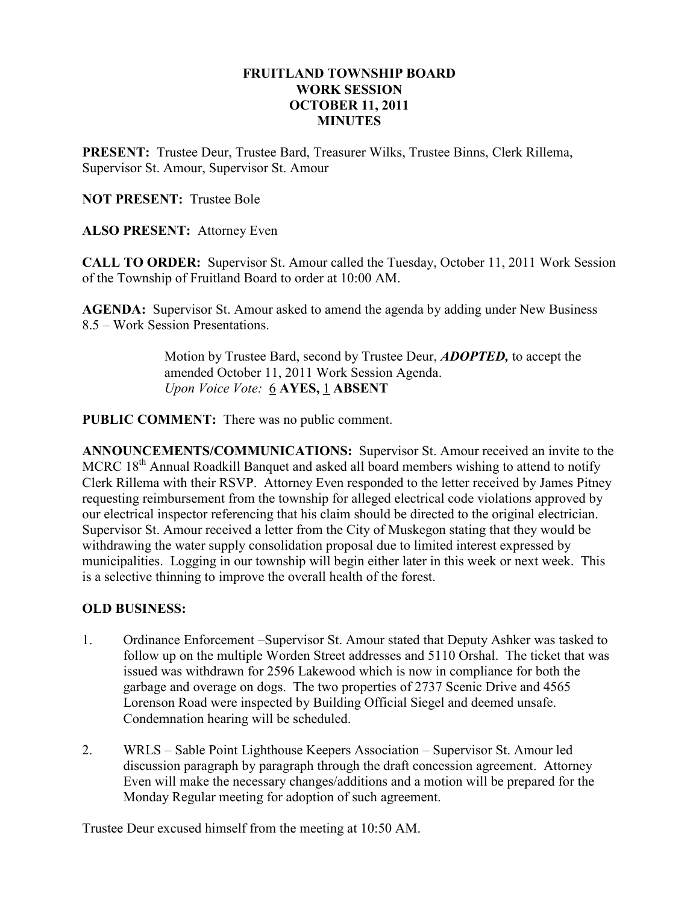### FRUITLAND TOWNSHIP BOARD WORK SESSION OCTOBER 11, 2011 **MINUTES**

PRESENT: Trustee Deur, Trustee Bard, Treasurer Wilks, Trustee Binns, Clerk Rillema, Supervisor St. Amour, Supervisor St. Amour

NOT PRESENT: Trustee Bole

ALSO PRESENT: Attorney Even

CALL TO ORDER: Supervisor St. Amour called the Tuesday, October 11, 2011 Work Session of the Township of Fruitland Board to order at 10:00 AM.

AGENDA: Supervisor St. Amour asked to amend the agenda by adding under New Business 8.5 – Work Session Presentations.

> Motion by Trustee Bard, second by Trustee Deur, **ADOPTED**, to accept the amended October 11, 2011 Work Session Agenda. Upon Voice Vote: 6 AYES, 1 ABSENT

PUBLIC COMMENT: There was no public comment.

ANNOUNCEMENTS/COMMUNICATIONS: Supervisor St. Amour received an invite to the MCRC  $18<sup>th</sup>$  Annual Roadkill Banquet and asked all board members wishing to attend to notify Clerk Rillema with their RSVP. Attorney Even responded to the letter received by James Pitney requesting reimbursement from the township for alleged electrical code violations approved by our electrical inspector referencing that his claim should be directed to the original electrician. Supervisor St. Amour received a letter from the City of Muskegon stating that they would be withdrawing the water supply consolidation proposal due to limited interest expressed by municipalities. Logging in our township will begin either later in this week or next week. This is a selective thinning to improve the overall health of the forest.

#### OLD BUSINESS:

- 1. Ordinance Enforcement –Supervisor St. Amour stated that Deputy Ashker was tasked to follow up on the multiple Worden Street addresses and 5110 Orshal. The ticket that was issued was withdrawn for 2596 Lakewood which is now in compliance for both the garbage and overage on dogs. The two properties of 2737 Scenic Drive and 4565 Lorenson Road were inspected by Building Official Siegel and deemed unsafe. Condemnation hearing will be scheduled.
- 2. WRLS Sable Point Lighthouse Keepers Association Supervisor St. Amour led discussion paragraph by paragraph through the draft concession agreement. Attorney Even will make the necessary changes/additions and a motion will be prepared for the Monday Regular meeting for adoption of such agreement.

Trustee Deur excused himself from the meeting at 10:50 AM.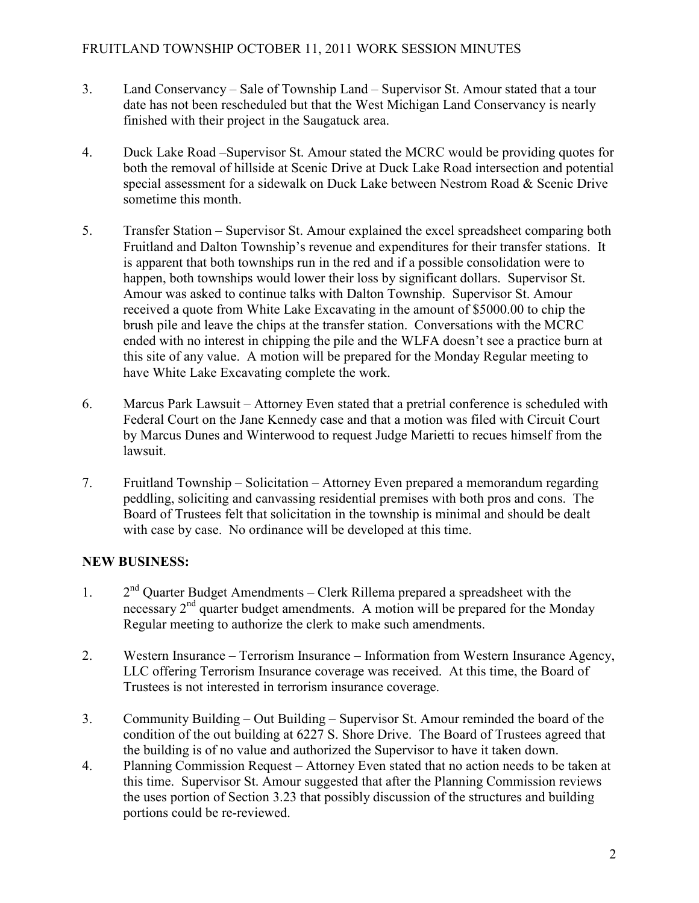- 3. Land Conservancy Sale of Township Land Supervisor St. Amour stated that a tour date has not been rescheduled but that the West Michigan Land Conservancy is nearly finished with their project in the Saugatuck area.
- 4. Duck Lake Road –Supervisor St. Amour stated the MCRC would be providing quotes for both the removal of hillside at Scenic Drive at Duck Lake Road intersection and potential special assessment for a sidewalk on Duck Lake between Nestrom Road & Scenic Drive sometime this month.
- 5. Transfer Station Supervisor St. Amour explained the excel spreadsheet comparing both Fruitland and Dalton Township's revenue and expenditures for their transfer stations. It is apparent that both townships run in the red and if a possible consolidation were to happen, both townships would lower their loss by significant dollars. Supervisor St. Amour was asked to continue talks with Dalton Township. Supervisor St. Amour received a quote from White Lake Excavating in the amount of \$5000.00 to chip the brush pile and leave the chips at the transfer station. Conversations with the MCRC ended with no interest in chipping the pile and the WLFA doesn't see a practice burn at this site of any value. A motion will be prepared for the Monday Regular meeting to have White Lake Excavating complete the work.
- 6. Marcus Park Lawsuit Attorney Even stated that a pretrial conference is scheduled with Federal Court on the Jane Kennedy case and that a motion was filed with Circuit Court by Marcus Dunes and Winterwood to request Judge Marietti to recues himself from the lawsuit.
- 7. Fruitland Township Solicitation Attorney Even prepared a memorandum regarding peddling, soliciting and canvassing residential premises with both pros and cons. The Board of Trustees felt that solicitation in the township is minimal and should be dealt with case by case. No ordinance will be developed at this time.

# NEW BUSINESS:

- 1. 2<sup>nd</sup> Ouarter Budget Amendments Clerk Rillema prepared a spreadsheet with the necessary 2<sup>nd</sup> quarter budget amendments. A motion will be prepared for the Monday Regular meeting to authorize the clerk to make such amendments.
- 2. Western Insurance Terrorism Insurance Information from Western Insurance Agency, LLC offering Terrorism Insurance coverage was received. At this time, the Board of Trustees is not interested in terrorism insurance coverage.
- 3. Community Building Out Building Supervisor St. Amour reminded the board of the condition of the out building at 6227 S. Shore Drive. The Board of Trustees agreed that the building is of no value and authorized the Supervisor to have it taken down.
- 4. Planning Commission Request Attorney Even stated that no action needs to be taken at this time. Supervisor St. Amour suggested that after the Planning Commission reviews the uses portion of Section 3.23 that possibly discussion of the structures and building portions could be re-reviewed.